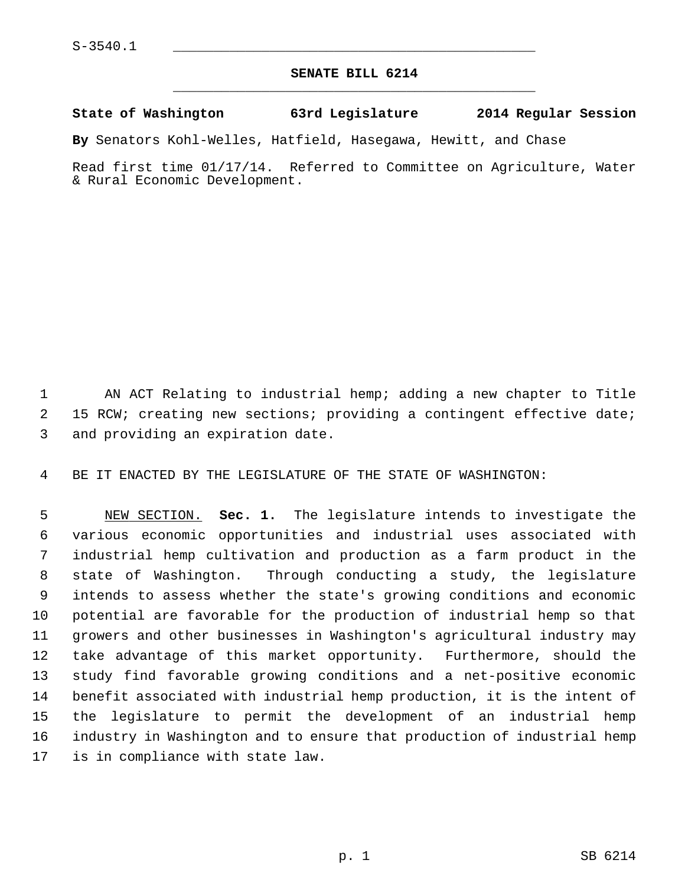## **SENATE BILL 6214** \_\_\_\_\_\_\_\_\_\_\_\_\_\_\_\_\_\_\_\_\_\_\_\_\_\_\_\_\_\_\_\_\_\_\_\_\_\_\_\_\_\_\_\_\_

## **State of Washington 63rd Legislature 2014 Regular Session**

**By** Senators Kohl-Welles, Hatfield, Hasegawa, Hewitt, and Chase

Read first time 01/17/14. Referred to Committee on Agriculture, Water & Rural Economic Development.

 1 AN ACT Relating to industrial hemp; adding a new chapter to Title 2 15 RCW; creating new sections; providing a contingent effective date; 3 and providing an expiration date.

4 BE IT ENACTED BY THE LEGISLATURE OF THE STATE OF WASHINGTON:

 5 NEW SECTION. **Sec. 1.** The legislature intends to investigate the 6 various economic opportunities and industrial uses associated with 7 industrial hemp cultivation and production as a farm product in the 8 state of Washington. Through conducting a study, the legislature 9 intends to assess whether the state's growing conditions and economic 10 potential are favorable for the production of industrial hemp so that 11 growers and other businesses in Washington's agricultural industry may 12 take advantage of this market opportunity. Furthermore, should the 13 study find favorable growing conditions and a net-positive economic 14 benefit associated with industrial hemp production, it is the intent of 15 the legislature to permit the development of an industrial hemp 16 industry in Washington and to ensure that production of industrial hemp 17 is in compliance with state law.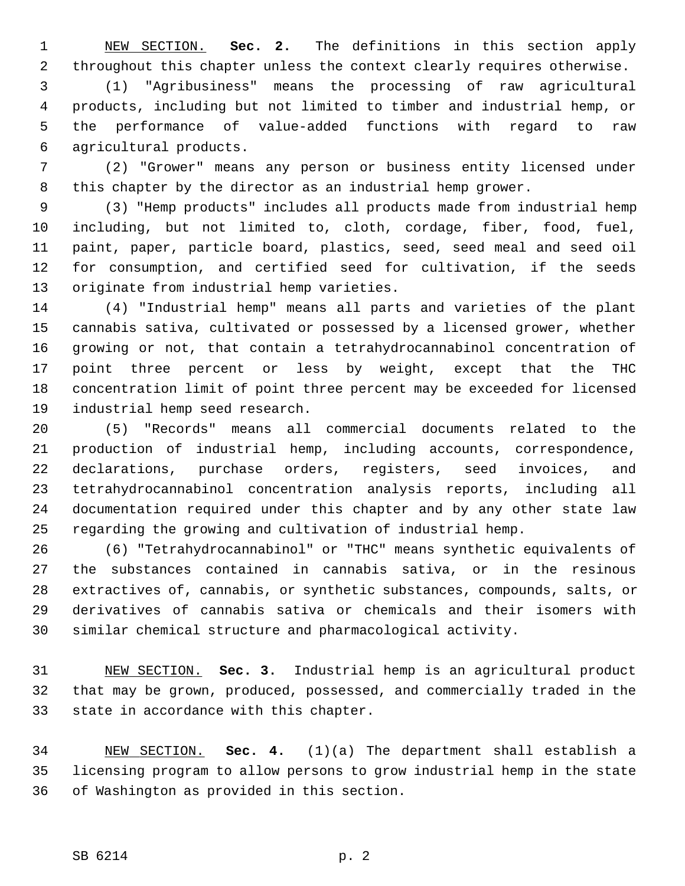1 NEW SECTION. **Sec. 2.** The definitions in this section apply 2 throughout this chapter unless the context clearly requires otherwise.

 3 (1) "Agribusiness" means the processing of raw agricultural 4 products, including but not limited to timber and industrial hemp, or 5 the performance of value-added functions with regard to raw 6 agricultural products.

 7 (2) "Grower" means any person or business entity licensed under 8 this chapter by the director as an industrial hemp grower.

 9 (3) "Hemp products" includes all products made from industrial hemp 10 including, but not limited to, cloth, cordage, fiber, food, fuel, 11 paint, paper, particle board, plastics, seed, seed meal and seed oil 12 for consumption, and certified seed for cultivation, if the seeds 13 originate from industrial hemp varieties.

14 (4) "Industrial hemp" means all parts and varieties of the plant 15 cannabis sativa, cultivated or possessed by a licensed grower, whether 16 growing or not, that contain a tetrahydrocannabinol concentration of 17 point three percent or less by weight, except that the THC 18 concentration limit of point three percent may be exceeded for licensed 19 industrial hemp seed research.

20 (5) "Records" means all commercial documents related to the 21 production of industrial hemp, including accounts, correspondence, 22 declarations, purchase orders, registers, seed invoices, and 23 tetrahydrocannabinol concentration analysis reports, including all 24 documentation required under this chapter and by any other state law 25 regarding the growing and cultivation of industrial hemp.

26 (6) "Tetrahydrocannabinol" or "THC" means synthetic equivalents of 27 the substances contained in cannabis sativa, or in the resinous 28 extractives of, cannabis, or synthetic substances, compounds, salts, or 29 derivatives of cannabis sativa or chemicals and their isomers with 30 similar chemical structure and pharmacological activity.

31 NEW SECTION. **Sec. 3.** Industrial hemp is an agricultural product 32 that may be grown, produced, possessed, and commercially traded in the 33 state in accordance with this chapter.

34 NEW SECTION. **Sec. 4.** (1)(a) The department shall establish a 35 licensing program to allow persons to grow industrial hemp in the state 36 of Washington as provided in this section.

## SB 6214 p. 2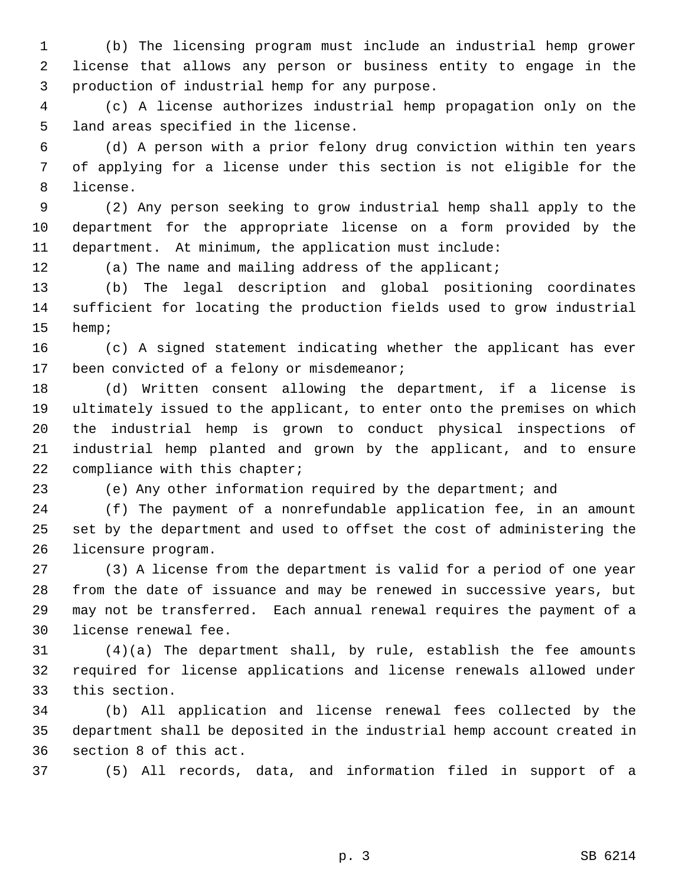1 (b) The licensing program must include an industrial hemp grower 2 license that allows any person or business entity to engage in the 3 production of industrial hemp for any purpose.

 4 (c) A license authorizes industrial hemp propagation only on the 5 land areas specified in the license.

 6 (d) A person with a prior felony drug conviction within ten years 7 of applying for a license under this section is not eligible for the 8 license.

 9 (2) Any person seeking to grow industrial hemp shall apply to the 10 department for the appropriate license on a form provided by the 11 department. At minimum, the application must include:

12 (a) The name and mailing address of the applicant;

13 (b) The legal description and global positioning coordinates 14 sufficient for locating the production fields used to grow industrial 15 hemp;

16 (c) A signed statement indicating whether the applicant has ever 17 been convicted of a felony or misdemeanor;

18 (d) Written consent allowing the department, if a license is 19 ultimately issued to the applicant, to enter onto the premises on which 20 the industrial hemp is grown to conduct physical inspections of 21 industrial hemp planted and grown by the applicant, and to ensure 22 compliance with this chapter;

23 (e) Any other information required by the department; and

24 (f) The payment of a nonrefundable application fee, in an amount 25 set by the department and used to offset the cost of administering the 26 licensure program.

27 (3) A license from the department is valid for a period of one year 28 from the date of issuance and may be renewed in successive years, but 29 may not be transferred. Each annual renewal requires the payment of a 30 license renewal fee.

31 (4)(a) The department shall, by rule, establish the fee amounts 32 required for license applications and license renewals allowed under 33 this section.

34 (b) All application and license renewal fees collected by the 35 department shall be deposited in the industrial hemp account created in 36 section 8 of this act.

37 (5) All records, data, and information filed in support of a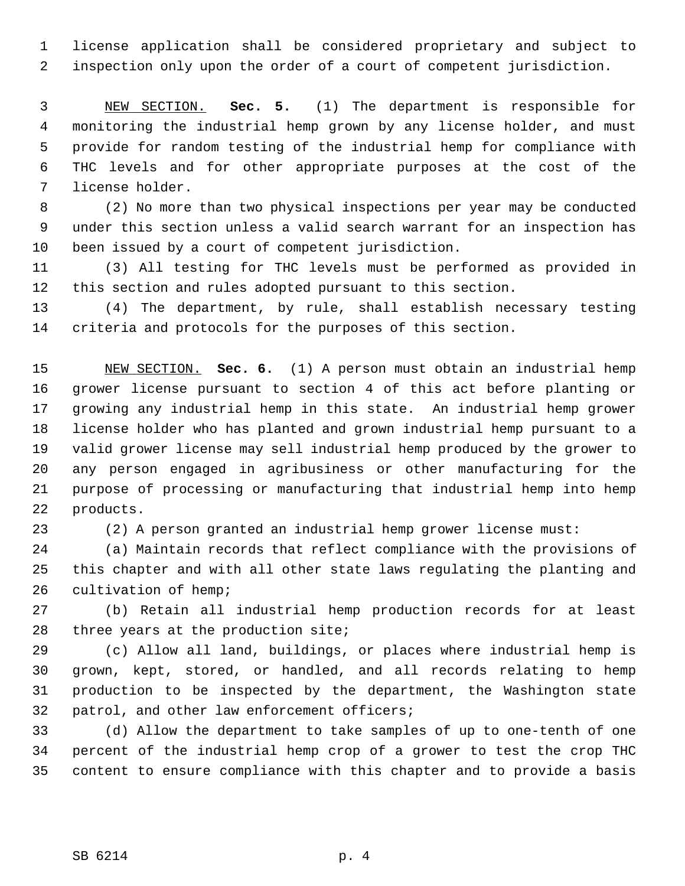1 license application shall be considered proprietary and subject to 2 inspection only upon the order of a court of competent jurisdiction.

 3 NEW SECTION. **Sec. 5.** (1) The department is responsible for 4 monitoring the industrial hemp grown by any license holder, and must 5 provide for random testing of the industrial hemp for compliance with 6 THC levels and for other appropriate purposes at the cost of the 7 license holder.

 8 (2) No more than two physical inspections per year may be conducted 9 under this section unless a valid search warrant for an inspection has 10 been issued by a court of competent jurisdiction.

11 (3) All testing for THC levels must be performed as provided in 12 this section and rules adopted pursuant to this section.

13 (4) The department, by rule, shall establish necessary testing 14 criteria and protocols for the purposes of this section.

15 NEW SECTION. **Sec. 6.** (1) A person must obtain an industrial hemp 16 grower license pursuant to section 4 of this act before planting or 17 growing any industrial hemp in this state. An industrial hemp grower 18 license holder who has planted and grown industrial hemp pursuant to a 19 valid grower license may sell industrial hemp produced by the grower to 20 any person engaged in agribusiness or other manufacturing for the 21 purpose of processing or manufacturing that industrial hemp into hemp 22 products.

23 (2) A person granted an industrial hemp grower license must:

24 (a) Maintain records that reflect compliance with the provisions of 25 this chapter and with all other state laws regulating the planting and 26 cultivation of hemp;

27 (b) Retain all industrial hemp production records for at least 28 three years at the production site;

29 (c) Allow all land, buildings, or places where industrial hemp is 30 grown, kept, stored, or handled, and all records relating to hemp 31 production to be inspected by the department, the Washington state 32 patrol, and other law enforcement officers;

33 (d) Allow the department to take samples of up to one-tenth of one 34 percent of the industrial hemp crop of a grower to test the crop THC 35 content to ensure compliance with this chapter and to provide a basis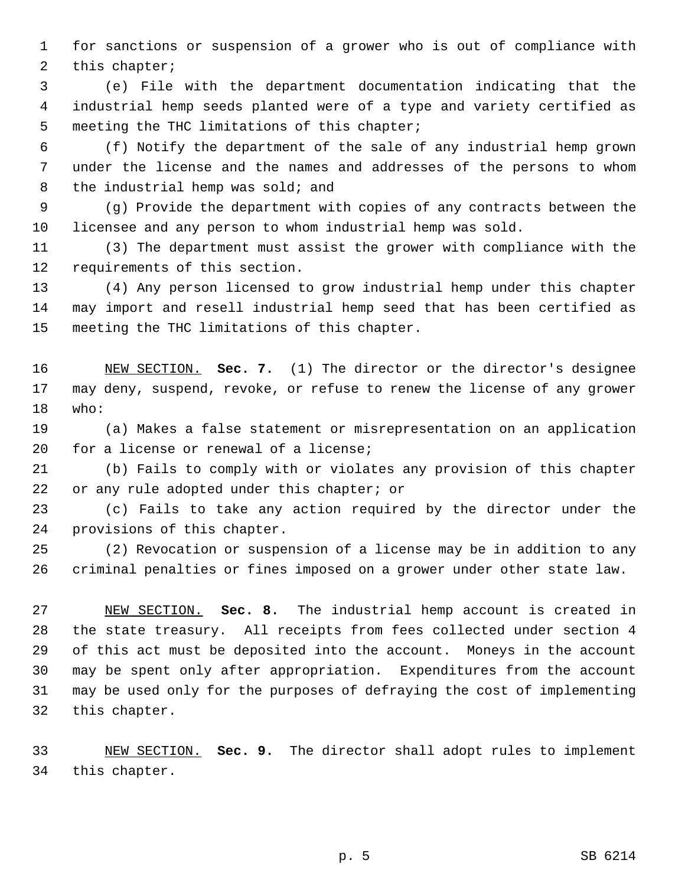1 for sanctions or suspension of a grower who is out of compliance with 2 this chapter;

 3 (e) File with the department documentation indicating that the 4 industrial hemp seeds planted were of a type and variety certified as 5 meeting the THC limitations of this chapter;

 6 (f) Notify the department of the sale of any industrial hemp grown 7 under the license and the names and addresses of the persons to whom 8 the industrial hemp was sold; and

 9 (g) Provide the department with copies of any contracts between the 10 licensee and any person to whom industrial hemp was sold.

11 (3) The department must assist the grower with compliance with the 12 requirements of this section.

13 (4) Any person licensed to grow industrial hemp under this chapter 14 may import and resell industrial hemp seed that has been certified as 15 meeting the THC limitations of this chapter.

16 NEW SECTION. **Sec. 7.** (1) The director or the director's designee 17 may deny, suspend, revoke, or refuse to renew the license of any grower 18 who:

19 (a) Makes a false statement or misrepresentation on an application 20 for a license or renewal of a license;

21 (b) Fails to comply with or violates any provision of this chapter 22 or any rule adopted under this chapter; or

23 (c) Fails to take any action required by the director under the 24 provisions of this chapter.

25 (2) Revocation or suspension of a license may be in addition to any 26 criminal penalties or fines imposed on a grower under other state law.

27 NEW SECTION. **Sec. 8.** The industrial hemp account is created in 28 the state treasury. All receipts from fees collected under section 4 29 of this act must be deposited into the account. Moneys in the account 30 may be spent only after appropriation. Expenditures from the account 31 may be used only for the purposes of defraying the cost of implementing 32 this chapter.

33 NEW SECTION. **Sec. 9.** The director shall adopt rules to implement 34 this chapter.

p. 5 SB 6214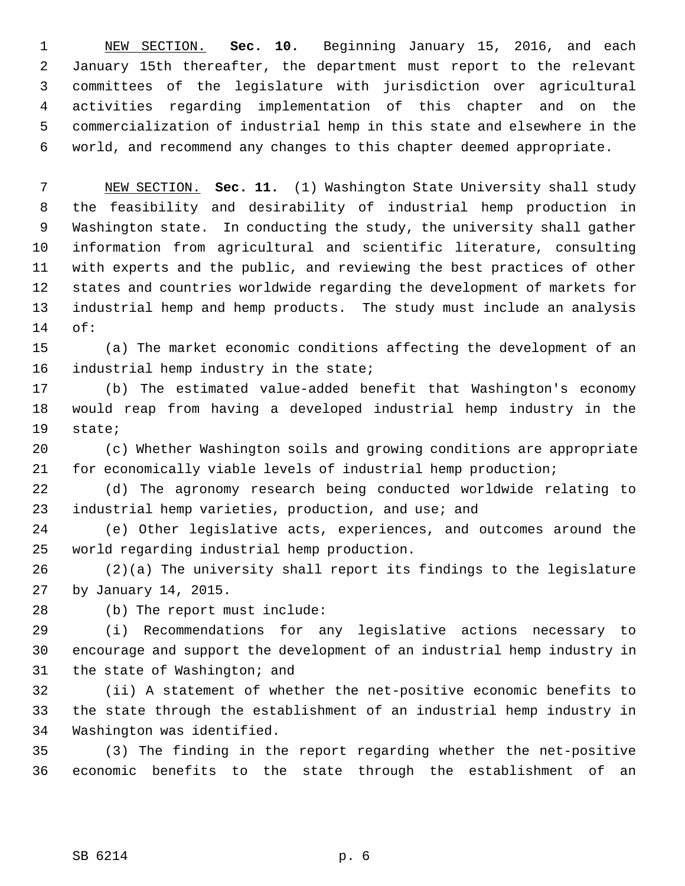1 NEW SECTION. **Sec. 10.** Beginning January 15, 2016, and each 2 January 15th thereafter, the department must report to the relevant 3 committees of the legislature with jurisdiction over agricultural 4 activities regarding implementation of this chapter and on the 5 commercialization of industrial hemp in this state and elsewhere in the 6 world, and recommend any changes to this chapter deemed appropriate.

 7 NEW SECTION. **Sec. 11.** (1) Washington State University shall study 8 the feasibility and desirability of industrial hemp production in 9 Washington state. In conducting the study, the university shall gather 10 information from agricultural and scientific literature, consulting 11 with experts and the public, and reviewing the best practices of other 12 states and countries worldwide regarding the development of markets for 13 industrial hemp and hemp products. The study must include an analysis 14 of:

15 (a) The market economic conditions affecting the development of an 16 industrial hemp industry in the state;

17 (b) The estimated value-added benefit that Washington's economy 18 would reap from having a developed industrial hemp industry in the 19 state;

20 (c) Whether Washington soils and growing conditions are appropriate 21 for economically viable levels of industrial hemp production;

22 (d) The agronomy research being conducted worldwide relating to 23 industrial hemp varieties, production, and use; and

24 (e) Other legislative acts, experiences, and outcomes around the 25 world regarding industrial hemp production.

26 (2)(a) The university shall report its findings to the legislature 27 by January 14, 2015.

28 (b) The report must include:

29 (i) Recommendations for any legislative actions necessary to 30 encourage and support the development of an industrial hemp industry in 31 the state of Washington; and

32 (ii) A statement of whether the net-positive economic benefits to 33 the state through the establishment of an industrial hemp industry in 34 Washington was identified.

35 (3) The finding in the report regarding whether the net-positive 36 economic benefits to the state through the establishment of an